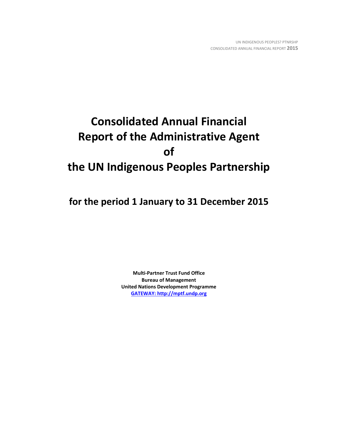# **Consolidated Annual Financial Report of the Administrative Agent of the UN Indigenous Peoples Partnership**

**for the period 1 January to 31 December 2015**

**Multi-Partner Trust Fund Office Bureau of Management United Nations Development Programme [GATEWAY: http://mptf.undp.org](http://mptf.undp.org/)**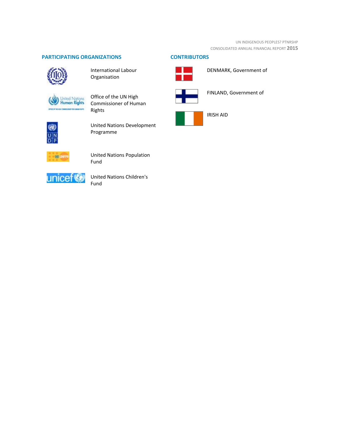# **PARTICIPATING ORGANIZATIONS CONTRIBUTORS**



International Labour Organisation

United Nations<br>Human Rights

Office of the UN High Commissioner of Human Rights



United Nations Development Programme



United Nations Population Fund



United Nations Children's Fund



DENMARK, Government of



FINLAND, Government of

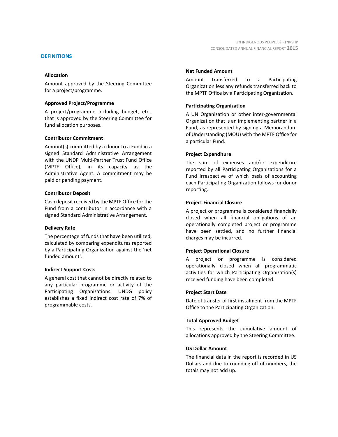#### **DEFINITIONS**

#### **Allocation**

Amount approved by the Steering Committee for a project/programme.

#### **Approved Project/Programme**

A project/programme including budget, etc., that is approved by the Steering Committee for fund allocation purposes.

#### **Contributor Commitment**

Amount(s) committed by a donor to a Fund in a signed Standard Administrative Arrangement with the UNDP Multi-Partner Trust Fund Office (MPTF Office), in its capacity as the Administrative Agent. A commitment may be paid or pending payment.

#### **Contributor Deposit**

Cash deposit received by the MPTF Office for the Fund from a contributor in accordance with a signed Standard Administrative Arrangement.

#### **Delivery Rate**

The percentage of funds that have been utilized, calculated by comparing expenditures reported by a Participating Organization against the 'net funded amount'.

#### **Indirect Support Costs**

A general cost that cannot be directly related to any particular programme or activity of the Participating Organizations. UNDG policy establishes a fixed indirect cost rate of 7% of programmable costs.

#### **Net Funded Amount**

Amount transferred to a Participating Organization less any refunds transferred back to the MPTF Office by a Participating Organization.

#### **Participating Organization**

A UN Organization or other inter-governmental Organization that is an implementing partner in a Fund, as represented by signing a Memorandum of Understanding (MOU) with the MPTF Office for a particular Fund.

#### **Project Expenditure**

The sum of expenses and/or expenditure reported by all Participating Organizations for a Fund irrespective of which basis of accounting each Participating Organization follows for donor reporting.

#### **Project Financial Closure**

A project or programme is considered financially closed when all financial obligations of an operationally completed project or programme have been settled, and no further financial charges may be incurred.

### **Project Operational Closure**

A project or programme is considered operationally closed when all programmatic activities for which Participating Organization(s) received funding have been completed.

#### **Project Start Date**

Date of transfer of first instalment from the MPTF Office to the Participating Organization.

#### **Total Approved Budget**

This represents the cumulative amount of allocations approved by the Steering Committee.

#### **US Dollar Amount**

The financial data in the report is recorded in US Dollars and due to rounding off of numbers, the totals may not add up.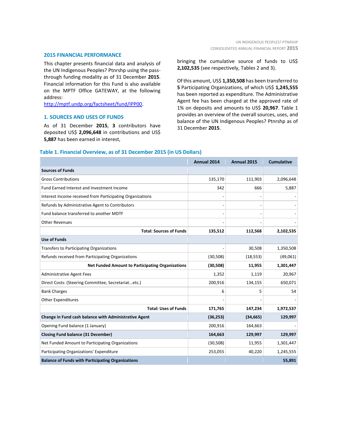#### **2015 FINANCIAL PERFORMANCE**

This chapter presents financial data and analysis of the UN Indigenous Peoples? Ptnrshp using the passthrough funding modality as of 31 December **2015**. Financial information for this Fund is also available on the MPTF Office GATEWAY, at the following address:

[http://mptf.undp.org/factsheet/fund/IPP00.](http://mptf.undp.org/factsheet/fund/IPP00)

#### **1. SOURCES AND USES OF FUNDS**

As of 31 December **2015**, **3** contributors have deposited US\$ **2,096,648** in contributions and US\$ **5,887** has been earned in interest,

bringing the cumulative source of funds to US\$ **2,102,535** (see respectively, Tables 2 and 3).

Of this amount, US\$ **1,350,508** has been transferred to **5** Participating Organizations, of which US\$ **1,245,555** has been reported as expenditure. The Administrative Agent fee has been charged at the approved rate of 1% on deposits and amounts to US\$ **20,967**. Table 1 provides an overview of the overall sources, uses, and balance of the UN Indigenous Peoples? Ptnrshp as of 31 December **2015**.

#### **Table 1. Financial Overview, as of 31 December 2015 (in US Dollars)**

|                                                           | Annual 2014 | Annual 2015 | <b>Cumulative</b> |
|-----------------------------------------------------------|-------------|-------------|-------------------|
| <b>Sources of Funds</b>                                   |             |             |                   |
| <b>Gross Contributions</b>                                | 135,170     | 111,903     | 2,096,648         |
| Fund Earned Interest and Investment Income                | 342         | 666         | 5,887             |
| Interest Income received from Participating Organizations |             |             |                   |
| Refunds by Administrative Agent to Contributors           |             |             |                   |
| Fund balance transferred to another MDTF                  |             |             |                   |
| <b>Other Revenues</b>                                     |             |             |                   |
| <b>Total: Sources of Funds</b>                            | 135,512     | 112,568     | 2,102,535         |
| <b>Use of Funds</b>                                       |             |             |                   |
| <b>Transfers to Participating Organizations</b>           |             | 30,508      | 1,350,508         |
| Refunds received from Participating Organizations         | (30, 508)   | (18, 553)   | (49,061)          |
| <b>Net Funded Amount to Participating Organizations</b>   | (30, 508)   | 11,955      | 1,301,447         |
| <b>Administrative Agent Fees</b>                          | 1,352       | 1,119       | 20,967            |
| Direct Costs: (Steering Committee, Secretariatetc.)       | 200,916     | 134,155     | 650,071           |
| <b>Bank Charges</b>                                       | 6           | 5           | 54                |
| <b>Other Expenditures</b>                                 |             |             |                   |
| <b>Total: Uses of Funds</b>                               | 171,765     | 147,234     | 1,972,537         |
| Change in Fund cash balance with Administrative Agent     | (36, 253)   | (34, 665)   | 129,997           |
| Opening Fund balance (1 January)                          | 200,916     | 164,663     |                   |
| <b>Closing Fund balance (31 December)</b>                 | 164,663     | 129,997     | 129,997           |
| Net Funded Amount to Participating Organizations          | (30, 508)   | 11,955      | 1,301,447         |
| Participating Organizations' Expenditure                  | 253,055     | 40,220      | 1,245,555         |
| <b>Balance of Funds with Participating Organizations</b>  |             |             | 55,891            |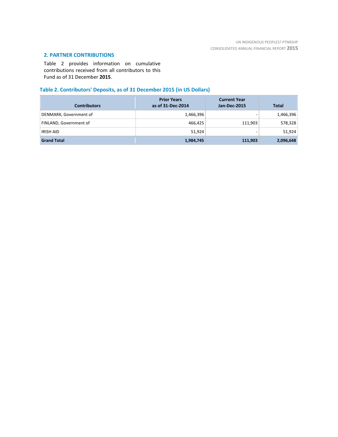# **2. PARTNER CONTRIBUTIONS**

Table 2 provides information on cumulative contributions received from all contributors to this Fund as of 31 December **2015**.

# **Table 2. Contributors' Deposits, as of 31 December 2015 (in US Dollars)**

| <b>Contributors</b>    | <b>Prior Years</b><br>as of 31-Dec-2014 | <b>Current Year</b><br><b>Jan-Dec-2015</b> | <b>Total</b> |
|------------------------|-----------------------------------------|--------------------------------------------|--------------|
| DENMARK, Government of | 1,466,396                               | $\overline{\phantom{a}}$                   | 1,466,396    |
| FINLAND, Government of | 466.425                                 | 111,903                                    | 578,328      |
| <b>IRISH AID</b>       | 51,924                                  | $\overline{\phantom{0}}$                   | 51,924       |
| <b>Grand Total</b>     | 1,984,745                               | 111,903                                    | 2,096,648    |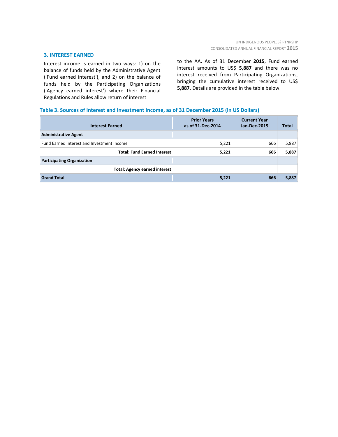#### **3. INTEREST EARNED**

Interest income is earned in two ways: 1) on the balance of funds held by the Administrative Agent ('Fund earned interest'), and 2) on the balance of funds held by the Participating Organizations ('Agency earned interest') where their Financial Regulations and Rules allow return of interest

to the AA. As of 31 December **2015**, Fund earned interest amounts to US\$ **5,887** and there was no interest received from Participating Organizations, bringing the cumulative interest received to US\$ **5,887**. Details are provided in the table below.

#### **Table 3. Sources of Interest and Investment Income, as of 31 December 2015 (in US Dollars)**

| <b>Interest Earned</b>                     | <b>Prior Years</b><br>as of 31-Dec-2014 | <b>Current Year</b><br><b>Jan-Dec-2015</b> | <b>Total</b> |
|--------------------------------------------|-----------------------------------------|--------------------------------------------|--------------|
| <b>Administrative Agent</b>                |                                         |                                            |              |
| Fund Earned Interest and Investment Income | 5,221                                   | 666                                        | 5,887        |
| <b>Total: Fund Earned Interest</b>         | 5,221                                   | 666                                        | 5,887        |
| <b>Participating Organization</b>          |                                         |                                            |              |
| <b>Total: Agency earned interest</b>       |                                         |                                            |              |
| <b>Grand Total</b>                         | 5,221                                   | 666                                        | 5,887        |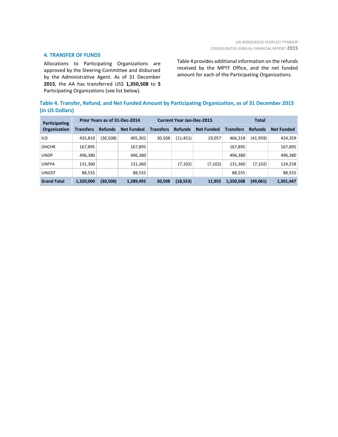#### **4. TRANSFER OF FUNDS**

Allocations to Participating Organizations are approved by the Steering Committee and disbursed by the Administrative Agent. As of 31 December **2015**, the AA has transferred US\$ **1,350,508** to **5** Participating Organizations (see list below).

Table 4 provides additional information on the refunds received by the MPTF Office, and the net funded amount for each of the Participating Organizations.

| Table 4. Transfer, Refund, and Net Funded Amount by Participating Organization, as of 31 December 2015 |  |
|--------------------------------------------------------------------------------------------------------|--|
| (in US Dollars)                                                                                        |  |

| Participating<br><b>Organization</b> | Prior Years as of 31-Dec-2014 |                |                   | <b>Current Year Jan-Dec-2015</b> |                |                   | <b>Total</b>     |                |                   |
|--------------------------------------|-------------------------------|----------------|-------------------|----------------------------------|----------------|-------------------|------------------|----------------|-------------------|
|                                      | <b>Transfers</b>              | <b>Refunds</b> | <b>Net Funded</b> | <b>Transfers</b>                 | <b>Refunds</b> | <b>Net Funded</b> | <b>Transfers</b> | <b>Refunds</b> | <b>Net Funded</b> |
| <b>ILO</b>                           | 435,810                       | (30, 508)      | 405,302           | 30,508                           | (11, 451)      | 19,057            | 466.318          | (41, 959)      | 424,359           |
| <b>OHCHR</b>                         | 167,895                       |                | 167,895           |                                  |                |                   | 167,895          |                | 167,895           |
| <b>UNDP</b>                          | 496,380                       |                | 496,380           |                                  |                |                   | 496,380          |                | 496,380           |
| <b>UNFPA</b>                         | 131,360                       |                | 131,360           |                                  | (7, 102)       | (7, 102)          | 131,360          | (7, 102)       | 124,258           |
| <b>UNICEF</b>                        | 88,555                        |                | 88,555            |                                  |                |                   | 88,555           |                | 88,555            |
| <b>Grand Total</b>                   | 1,320,000                     | (30,508)       | 1,289,492         | 30,508                           | (18, 553)      | 11,955            | 1,350,508        | (49,061)       | 1,301,447         |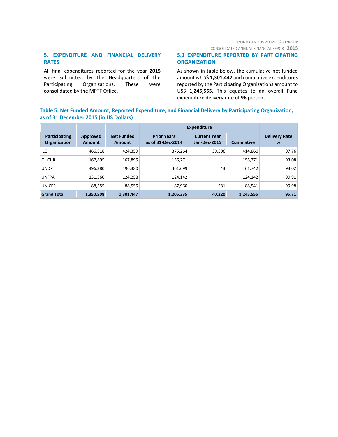CONSOLIDATED ANNUAL FINANCIAL REPORT **2015**

## **5. EXPENDITURE AND FINANCIAL DELIVERY RATES**

All final expenditures reported for the year **2015** were submitted by the Headquarters of the Participating Organizations. These were consolidated by the MPTF Office.

### **5.1 EXPENDITURE REPORTED BY PARTICIPATING ORGANIZATION**

As shown in table below, the cumulative net funded amount is US\$ **1,301,447** and cumulative expenditures reported by the Participating Organizations amount to US\$ **1,245,555**. This equates to an overall Fund expenditure delivery rate of **96** percent.

# **Table 5. Net Funded Amount, Reported Expenditure, and Financial Delivery by Participating Organization, as of 31 December 2015 (in US Dollars)**

|                               |                    |                                    | <b>Expenditure</b>                      |                                            |                   |                           |
|-------------------------------|--------------------|------------------------------------|-----------------------------------------|--------------------------------------------|-------------------|---------------------------|
| Participating<br>Organization | Approved<br>Amount | <b>Net Funded</b><br><b>Amount</b> | <b>Prior Years</b><br>as of 31-Dec-2014 | <b>Current Year</b><br><b>Jan-Dec-2015</b> | <b>Cumulative</b> | <b>Delivery Rate</b><br>% |
| <b>ILO</b>                    | 466,318            | 424.359                            | 375,264                                 | 39,596                                     | 414.860           | 97.76                     |
| <b>OHCHR</b>                  | 167,895            | 167,895                            | 156,271                                 |                                            | 156,271           | 93.08                     |
| <b>UNDP</b>                   | 496,380            | 496,380                            | 461,699                                 | 43                                         | 461.742           | 93.02                     |
| <b>UNFPA</b>                  | 131,360            | 124,258                            | 124,142                                 |                                            | 124,142           | 99.91                     |
| <b>UNICEF</b>                 | 88,555             | 88,555                             | 87,960                                  | 581                                        | 88,541            | 99.98                     |
| <b>Grand Total</b>            | 1,350,508          | 1,301,447                          | 1,205,335                               | 40,220                                     | 1,245,555         | 95.71                     |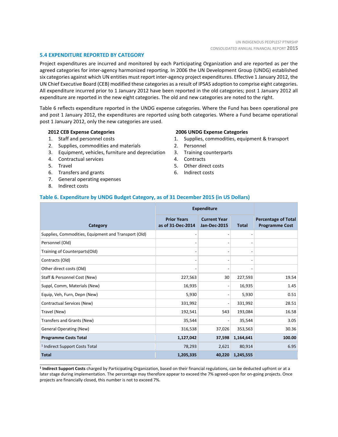#### **5.4 EXPENDITURE REPORTED BY CATEGORY**

Project expenditures are incurred and monitored by each Participating Organization and are reported as per the agreed categories for inter-agency harmonized reporting. In 2006 the UN Development Group (UNDG) established six categories against which UN entities must report inter-agency project expenditures. Effective 1 January 2012, the UN Chief Executive Board (CEB) modified these categories as a result of IPSAS adoption to comprise eight categories. All expenditure incurred prior to 1 January 2012 have been reported in the old categories; post 1 January 2012 all expenditure are reported in the new eight categories. The old and new categories are noted to the right.

Table 6 reflects expenditure reported in the UNDG expense categories. Where the Fund has been operational pre and post 1 January 2012, the expenditures are reported using both categories. Where a Fund became operational post 1 January 2012, only the new categories are used.

#### **2012 CEB Expense Categories**

- 1. Staff and personnel costs
- 2. Supplies, commodities and materials
- 3. Equipment, vehicles, furniture and depreciation
- 4. Contractual services
- 5. Travel
- 6. Transfers and grants
- 7. General operating expenses
- 8. Indirect costs

\_\_\_\_\_\_\_\_\_\_\_\_\_\_\_\_\_\_\_\_\_\_

#### **2006 UNDG Expense Categories**

- 1. Supplies, commodities, equipment & transport
- 2. Personnel
- 3. Training counterparts
- 4. Contracts
- 5. Other direct costs
- 6. Indirect costs

#### **Table 6. Expenditure by UNDG Budget Category, as of 31 December 2015 (in US Dollars)**

|                                                      | <b>Expenditure</b>                      |                                            |              |                                                     |
|------------------------------------------------------|-----------------------------------------|--------------------------------------------|--------------|-----------------------------------------------------|
| Category                                             | <b>Prior Years</b><br>as of 31-Dec-2014 | <b>Current Year</b><br><b>Jan-Dec-2015</b> | <b>Total</b> | <b>Percentage of Total</b><br><b>Programme Cost</b> |
| Supplies, Commodities, Equipment and Transport (Old) |                                         |                                            |              |                                                     |
| Personnel (Old)                                      |                                         |                                            |              |                                                     |
| Training of Counterparts(Old)                        |                                         | $\overline{\phantom{0}}$                   |              |                                                     |
| Contracts (Old)                                      |                                         | $\overline{a}$                             |              |                                                     |
| Other direct costs (Old)                             |                                         |                                            |              |                                                     |
| Staff & Personnel Cost (New)                         | 227,563                                 | 30                                         | 227,593      | 19.54                                               |
| Suppl, Comm, Materials (New)                         | 16,935                                  | $\overline{a}$                             | 16,935       | 1.45                                                |
| Equip, Veh, Furn, Depn (New)                         | 5,930                                   | $\overline{a}$                             | 5,930        | 0.51                                                |
| Contractual Services (New)                           | 331,992                                 | $\overline{\phantom{a}}$                   | 331,992      | 28.51                                               |
| Travel (New)                                         | 192,541                                 | 543                                        | 193,084      | 16.58                                               |
| Transfers and Grants (New)                           | 35,544                                  |                                            | 35,544       | 3.05                                                |
| <b>General Operating (New)</b>                       | 316,538                                 | 37,026                                     | 353,563      | 30.36                                               |
| <b>Programme Costs Total</b>                         | 1,127,042                               | 37,598                                     | 1,164,641    | 100.00                                              |
| <sup>1</sup> Indirect Support Costs Total            | 78,293                                  | 2,621                                      | 80,914       | 6.95                                                |
| <b>Total</b>                                         | 1,205,335                               | 40,220                                     | 1,245,555    |                                                     |

**1 Indirect Support Costs** charged by Participating Organization, based on their financial regulations, can be deducted upfront or at a later stage during implementation. The percentage may therefore appear to exceed the 7% agreed-upon for on-going projects. Once projects are financially closed, this number is not to exceed 7%.